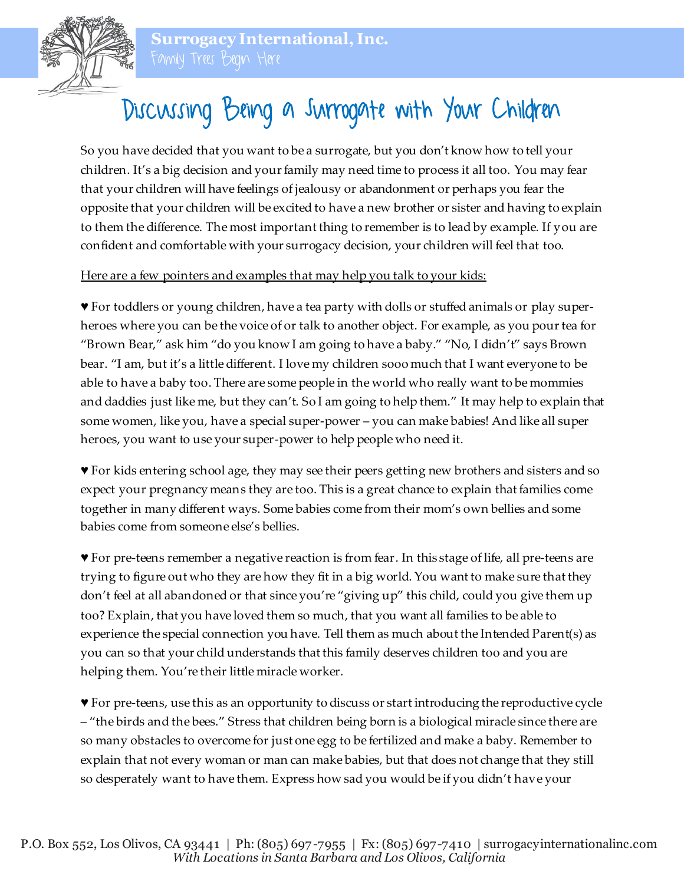

## Discussing Being a Surrogate with Your Children

So you have decided that you want to be a surrogate, but you don't know how to tell your children. It's a big decision and your family may need time to process it all too. You may fear that your children will have feelings of jealousy or abandonment or perhaps you fear the opposite that your children will be excited to have a new brother or sister and having to explain to them the difference. The most important thing to remember is to lead by example. If you are confident and comfortable with your surrogacy decision, your children will feel that too.

## Here are a few pointers and examples that may help you talk to your kids:

♥ For toddlers or young children, have a tea party with dolls or stuffed animals or play superheroes where you can be the voice of or talk to another object. For example, as you pour tea for "Brown Bear," ask him "do you know I am going to have a baby." "No, I didn't" says Brown bear. "I am, but it's a little different. I love my children sooo much that I want everyone to be able to have a baby too. There are some people in the world who really want to be mommies and daddies just like me, but they can't. So I am going to help them." It may help to explain that some women, like you, have a special super-power – you can make babies! And like all super heroes, you want to use your super-power to help people who need it.

♥ For kids entering school age, they may see their peers getting new brothers and sisters and so expect your pregnancy means they are too. This is a great chance to explain that families come together in many different ways. Some babies come from their mom's own bellies and some babies come from someone else's bellies.

♥ For pre-teens remember a negative reaction is from fear. In this stage of life, all pre-teens are trying to figure out who they are how they fit in a big world. You want to make sure that they don't feel at all abandoned or that since you're "giving up" this child, could you give them up too? Explain, that you have loved them so much, that you want all families to be able to experience the special connection you have. Tell them as much about the Intended Parent(s) as you can so that your child understands that this family deserves children too and you are helping them. You're their little miracle worker.

♥ For pre-teens, use this as an opportunity to discuss or start introducing the reproductive cycle – "the birds and the bees." Stress that children being born is a biological miracle since there are so many obstacles to overcome for just one egg to be fertilized and make a baby. Remember to explain that not every woman or man can make babies, but that does not change that they still so desperately want to have them. Express how sad you would be if you didn't have your